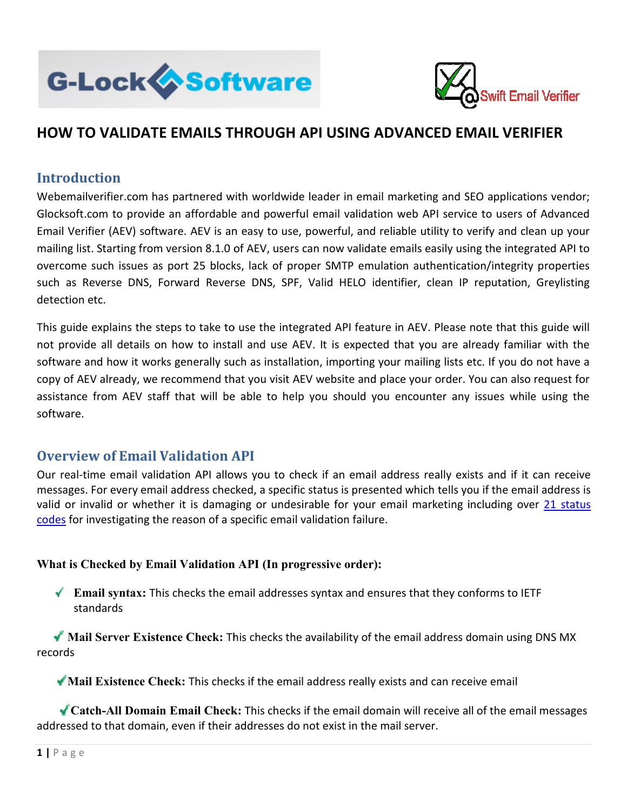



# **HOW TO VALIDATE EMAILS THROUGH API USING ADVANCED EMAIL VERIFIER**

### **Introduction**

Webemailverifier.com has partnered with worldwide leader in email marketing and SEO applications vendor; Glocksoft.com to provide an affordable and powerful email validation web API service to users of Advanced Glocksoft.com to provide an affordable and powerful email validation web API service to users of Advanced<br>Email Verifier (AEV) software. AEV is an easy to use, powerful, and reliable utility to verify and clean up your mailing list. Starting from version 8.1.0 of AEV, users can now validate emails easily using the integrated API to mailing list. Starting from version 8.1.0 of AEV, users can now validate emails easily using the integrated API to<br>overcome such issues as port 25 blocks, lack of proper SMTP emulation authentication/integrity properties such as Reverse DNS, Forward Reverse DNS, SPF, Valid HELO identifier, clean IP reputation, Greylisting detection etc. aliverifer.com has partnered with wordwivie leader in email marketing and SEO applications vendor;<br>il.com to provide an affordable and powerful email validation web API service to users of Advanced<br>eirflor (AEV) software.

This guide explains the steps to take to use the integrated API feature in AEV. Please note that this guide will not provide all details on how to install and use AEV. It is expected that you are already familiar with the software and how it works generally such as installation, importing your mailing lists etc. If you do not have a copy of AEV already, we recommend that you visit AEV website and place your order. You can also request for assistance from AEV staff that will be able to help you should you encounter any issues while using the software. splains the steps to take to use the integrated API feature in AEV. Please note that this guide will<br>all details on how to install and use AEV. It is expected that you are already familiar with the<br>d how it works generally

### **Overview of Email Validation API**

Our real-time email validation API allows you to check if an email address really exists and if it can receive messages. For every email address checked, a specific status is presented which tells you if the email address is valid or invalid or whether it is damaging or undesirable for your email marketing including over<br>codes for investigating the reason of a specific email validation failure. codes for investigating the reason of a specific email validation failure. d you encounter any issues while using the<br>
inail address really exists and if it can receive<br>
esented which tells you if the email address is<br>
pur email marketing including over 21 status

#### What is Checked by Email Validation API (In progressive order):

**Email syntax:** This checks the email addresses syntax and ensures that they conforms to IETF standards ↓ Email syntax: This checks the email addresses syntax and ensures that they conforms to IETF<br>
standards<br>
★ Mail Server Existence Check: This checks the availability of the email address domain using DNS MX

records

**Mail Existence Check:** This checks if the email address really exists and can receive email

↓ Catch-All Domain Email Check: This checks if the email domain will receive all of the email messages addressed to that domain, even if their addresses do not exist in the mail server.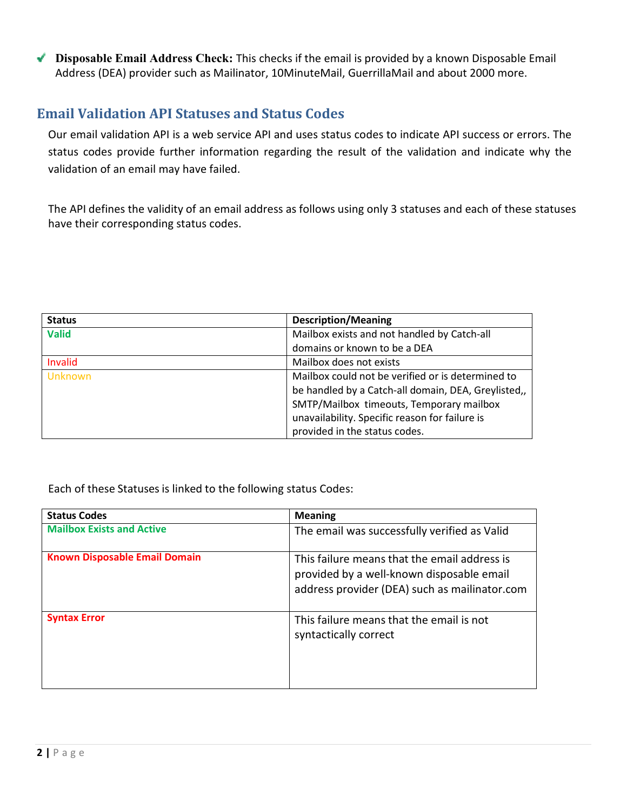**Disposable Email Address Check:** This checks if the email is provided by a known Disposable Email Address (DEA) provider such as Mailinator, 10MinuteMail, GuerrillaMail and about 2000 more.

# **Email Validation API Statuses and Status Codes**

Our email validation API is a web service API and uses status codes to indicate API success or errors. The status codes provide further information regarding the result of the validation and indicate why the validation of an email may have failed.

The API defines the validity of an email address as follows using only 3 statuses and each of these statuses have their corresponding status codes.

| <b>Status</b>  | <b>Description/Meaning</b>                          |
|----------------|-----------------------------------------------------|
| <b>Valid</b>   | Mailbox exists and not handled by Catch-all         |
|                | domains or known to be a DEA                        |
| Invalid        | Mailbox does not exists                             |
| <b>Unknown</b> | Mailbox could not be verified or is determined to   |
|                | be handled by a Catch-all domain, DEA, Greylisted,, |
|                | SMTP/Mailbox timeouts, Temporary mailbox            |
|                | unavailability. Specific reason for failure is      |
|                | provided in the status codes.                       |

Each of these Statuses is linked to the following status Codes:

| <b>Status Codes</b>                  | <b>Meaning</b>                                                                                                                             |
|--------------------------------------|--------------------------------------------------------------------------------------------------------------------------------------------|
| <b>Mailbox Exists and Active</b>     | The email was successfully verified as Valid                                                                                               |
| <b>Known Disposable Email Domain</b> | This failure means that the email address is<br>provided by a well-known disposable email<br>address provider (DEA) such as mailinator.com |
| <b>Syntax Error</b>                  | This failure means that the email is not<br>syntactically correct                                                                          |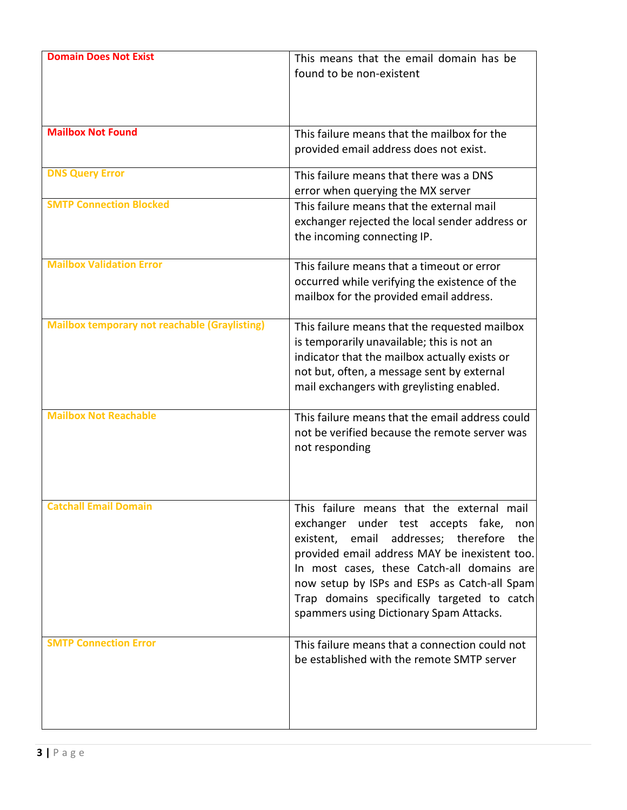| <b>Domain Does Not Exist</b>                         | This means that the email domain has be<br>found to be non-existent                                                                                                                                                                                                                                                                                                            |
|------------------------------------------------------|--------------------------------------------------------------------------------------------------------------------------------------------------------------------------------------------------------------------------------------------------------------------------------------------------------------------------------------------------------------------------------|
| <b>Mailbox Not Found</b>                             | This failure means that the mailbox for the<br>provided email address does not exist.                                                                                                                                                                                                                                                                                          |
| <b>DNS Query Error</b>                               | This failure means that there was a DNS<br>error when querying the MX server                                                                                                                                                                                                                                                                                                   |
| <b>SMTP Connection Blocked</b>                       | This failure means that the external mail<br>exchanger rejected the local sender address or<br>the incoming connecting IP.                                                                                                                                                                                                                                                     |
| <b>Mailbox Validation Error</b>                      | This failure means that a timeout or error<br>occurred while verifying the existence of the<br>mailbox for the provided email address.                                                                                                                                                                                                                                         |
| <b>Mailbox temporary not reachable (Graylisting)</b> | This failure means that the requested mailbox<br>is temporarily unavailable; this is not an<br>indicator that the mailbox actually exists or<br>not but, often, a message sent by external<br>mail exchangers with greylisting enabled.                                                                                                                                        |
| <b>Mailbox Not Reachable</b>                         | This failure means that the email address could<br>not be verified because the remote server was<br>not responding                                                                                                                                                                                                                                                             |
| <b>Catchall Email Domain</b>                         | This failure means that the external mail<br>exchanger under test accepts fake,<br>non<br>existent, email addresses; therefore<br>the<br>provided email address MAY be inexistent too.<br>In most cases, these Catch-all domains are<br>now setup by ISPs and ESPs as Catch-all Spam<br>Trap domains specifically targeted to catch<br>spammers using Dictionary Spam Attacks. |
| <b>SMTP Connection Error</b>                         | This failure means that a connection could not<br>be established with the remote SMTP server                                                                                                                                                                                                                                                                                   |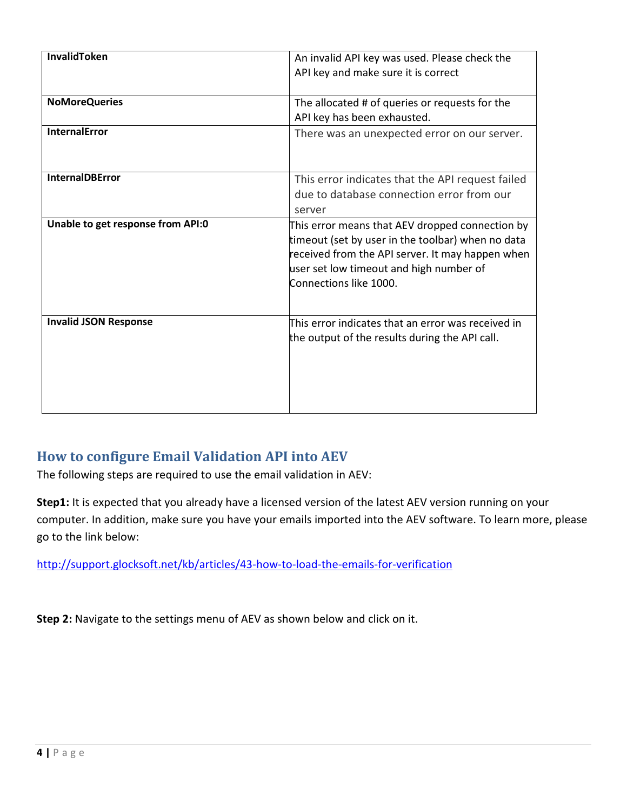| <b>InvalidToken</b>               | An invalid API key was used. Please check the      |  |  |  |  |  |
|-----------------------------------|----------------------------------------------------|--|--|--|--|--|
|                                   | API key and make sure it is correct                |  |  |  |  |  |
|                                   |                                                    |  |  |  |  |  |
| <b>NoMoreQueries</b>              | The allocated # of queries or requests for the     |  |  |  |  |  |
|                                   | API key has been exhausted.                        |  |  |  |  |  |
| <b>InternalError</b>              | There was an unexpected error on our server.       |  |  |  |  |  |
|                                   |                                                    |  |  |  |  |  |
|                                   |                                                    |  |  |  |  |  |
| <b>InternalDBError</b>            | This error indicates that the API request failed   |  |  |  |  |  |
|                                   | due to database connection error from our          |  |  |  |  |  |
|                                   | server                                             |  |  |  |  |  |
| Unable to get response from API:0 | This error means that AEV dropped connection by    |  |  |  |  |  |
|                                   | timeout (set by user in the toolbar) when no data  |  |  |  |  |  |
|                                   | received from the API server. It may happen when   |  |  |  |  |  |
|                                   | user set low timeout and high number of            |  |  |  |  |  |
|                                   | Connections like 1000.                             |  |  |  |  |  |
|                                   |                                                    |  |  |  |  |  |
| <b>Invalid JSON Response</b>      | This error indicates that an error was received in |  |  |  |  |  |
|                                   |                                                    |  |  |  |  |  |
|                                   | the output of the results during the API call.     |  |  |  |  |  |
|                                   |                                                    |  |  |  |  |  |
|                                   |                                                    |  |  |  |  |  |
|                                   |                                                    |  |  |  |  |  |
|                                   |                                                    |  |  |  |  |  |

# **How to configure Email Validation API into AEV**

The following steps are required to use the email validation in AEV:

**Step1:** It is expected that you already have a licensed version of the latest AEV version running on your computer. In addition, make sure you have your emails imported into the AEV software. To learn more, please go to the link below:

<http://support.glocksoft.net/kb/articles/43-how-to-load-the-emails-for-verification>

**Step 2:** Navigate to the settings menu of AEV as shown below and click on it.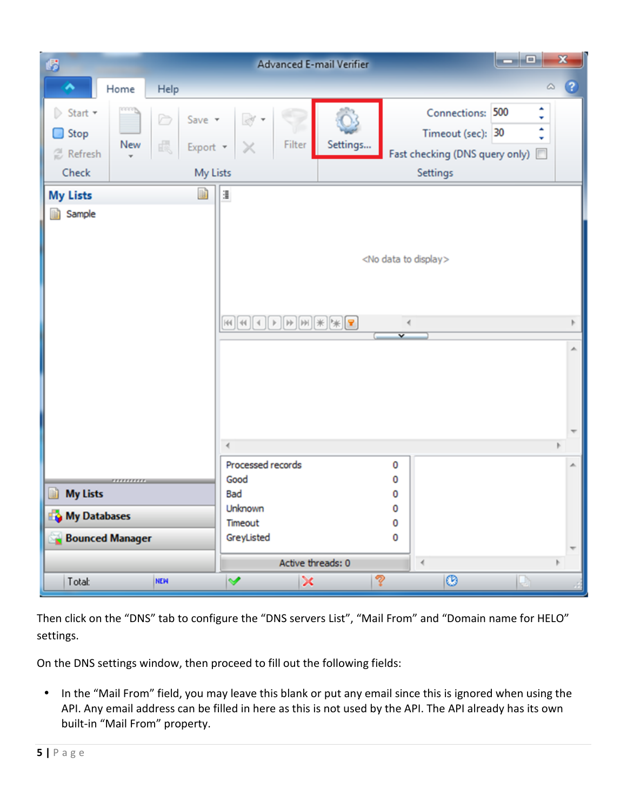

Then click on the "DNS" tab to configure the "DNS servers List", "Mail From" and "Domain name for HELO" settings.

On the DNS settings window, then proceed to fill out the following fields:

• In the "Mail From" field, you may leave this blank or put any email since this is ignored when using the API. Any email address can be filled in here as this is not used by the API. The API already has its own built-in "Mail From" property.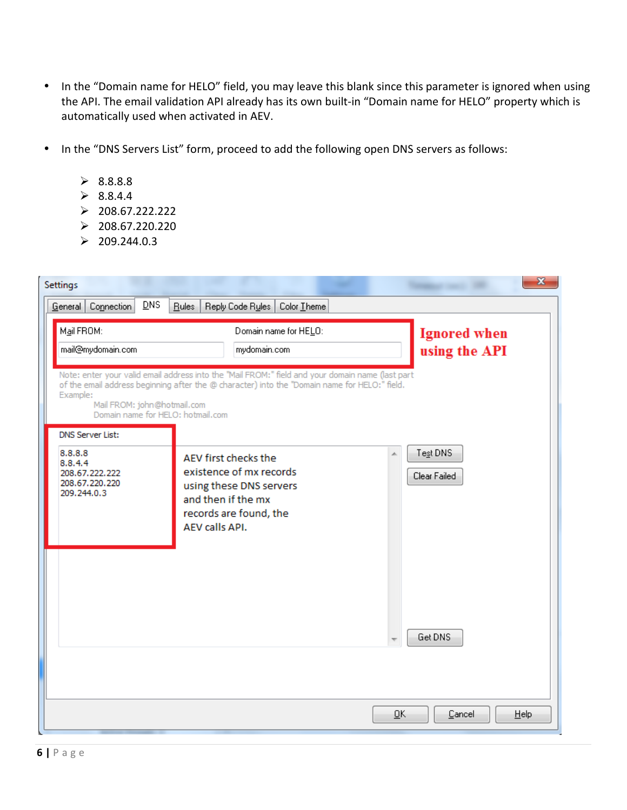- In the "Domain name for HELO" field, you may leave this blank since this parameter is ignored when using the API. The email validation API already has its own built-in "Domain name for HELO" property which is automatically used when activated in AEV.
- In the "DNS Servers List" form, proceed to add the following open DNS servers as follows:
	- $\geq 8.8.8.8$
	- $\geq 8.8.4.4$
	- $\geq 208.67.222.222$
	- $\geq 208.67.220.220$
	- $\geq 209.244.0.3$

| Settings                                                                                                                                                                                                                                                                                          |                                                                                                                                                           | x                        |  |  |  |  |  |
|---------------------------------------------------------------------------------------------------------------------------------------------------------------------------------------------------------------------------------------------------------------------------------------------------|-----------------------------------------------------------------------------------------------------------------------------------------------------------|--------------------------|--|--|--|--|--|
| DNS<br>Connection<br>General                                                                                                                                                                                                                                                                      | Bules<br>Reply Code Rules<br>Color Theme                                                                                                                  |                          |  |  |  |  |  |
| Mail FROM:<br>mail@mydomain.com                                                                                                                                                                                                                                                                   | <b>Ignored</b> when<br>using the API                                                                                                                      |                          |  |  |  |  |  |
| mydomain.com<br>Note: enter your valid email address into the "Mail FROM:" field and your domain name (last part<br>of the email address beginning after the @ character) into the "Domain name for HELO:" field.<br>Example:<br>Mail FROM: john@hotmail.com<br>Domain name for HELO: hotmail.com |                                                                                                                                                           |                          |  |  |  |  |  |
| <b>DNS Server List:</b>                                                                                                                                                                                                                                                                           |                                                                                                                                                           |                          |  |  |  |  |  |
| 8.8.8.8<br>8.8.4.4<br>208.67.222.222<br>208.67.220.220<br>209.244.0.3                                                                                                                                                                                                                             | À.<br>AEV first checks the<br>existence of mx records<br>using these DNS servers<br>and then if the mx<br>records are found, the<br><b>AEV calls API.</b> | Test DNS<br>Clear Failed |  |  |  |  |  |
|                                                                                                                                                                                                                                                                                                   |                                                                                                                                                           | Get DNS                  |  |  |  |  |  |
|                                                                                                                                                                                                                                                                                                   | $\overline{\mathsf{G}}$ K                                                                                                                                 | Cancel<br>He             |  |  |  |  |  |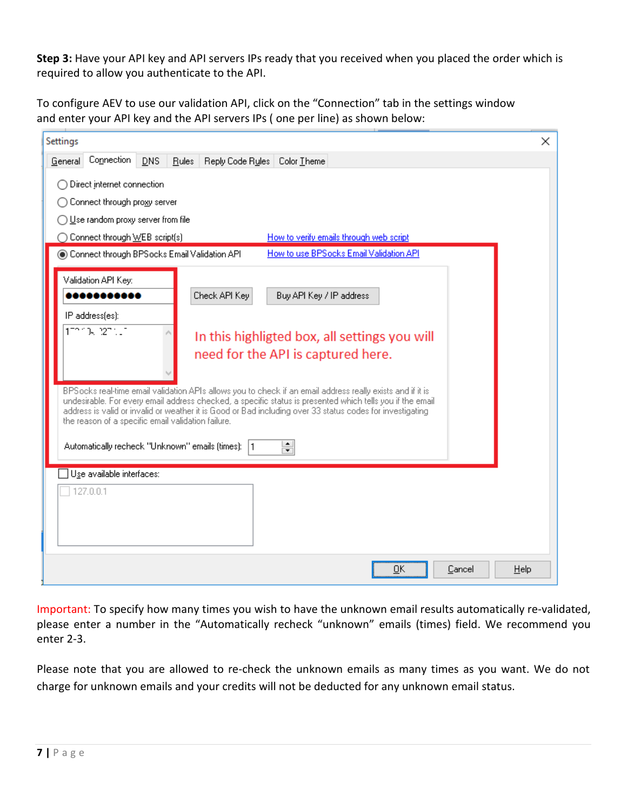**Step 3:** Have your API key and API servers IPs ready that you received when you placed the order which is required to allow you authenticate to the API.

To configure AEV to use our validation API, click on the "Connection" tab in the settings window and enter your API key and the API servers IPs ( one per line) as shown below:

| Connection<br><b>DNS</b><br>Reply Code Rules<br>Color Theme<br>General<br><b>Rules</b><br>Direct internet connection<br>Connect through proxy server<br>Use random proxy server from file<br>How to verify emails through web script<br>◯ Connect through WEB script(s)<br>How to use BPSocks Email Validation API<br>Connect through BPSocks Email Validation API<br>Validation API Key:<br>Check API Key<br>Buy API Key / IP address<br>,,,,,,,,,,<br>IP address(es):<br>רנו הפלועל זהר<br>In this highligted box, all settings you will<br>need for the API is captured here.<br>BPSocks real-time email validation APIs allows you to check if an email address really exists and if it is<br>undesirable. For every email address checked, a specific status is presented which tells you if the email<br>address is valid or invalid or weather it is Good or Bad including over 33 status codes for investigating<br>the reason of a specific email validation failure.<br>$\leftarrow$<br>Automatically recheck "Unknown" emails (times):  1<br>$\overline{\mathbf{r}}$<br>$\exists$ Use available interfaces:<br>127.0.0.1 | Settings | $\times$ |
|-------------------------------------------------------------------------------------------------------------------------------------------------------------------------------------------------------------------------------------------------------------------------------------------------------------------------------------------------------------------------------------------------------------------------------------------------------------------------------------------------------------------------------------------------------------------------------------------------------------------------------------------------------------------------------------------------------------------------------------------------------------------------------------------------------------------------------------------------------------------------------------------------------------------------------------------------------------------------------------------------------------------------------------------------------------------------------------------------------------------------------------|----------|----------|
|                                                                                                                                                                                                                                                                                                                                                                                                                                                                                                                                                                                                                                                                                                                                                                                                                                                                                                                                                                                                                                                                                                                                     |          |          |
|                                                                                                                                                                                                                                                                                                                                                                                                                                                                                                                                                                                                                                                                                                                                                                                                                                                                                                                                                                                                                                                                                                                                     |          |          |
|                                                                                                                                                                                                                                                                                                                                                                                                                                                                                                                                                                                                                                                                                                                                                                                                                                                                                                                                                                                                                                                                                                                                     |          |          |
|                                                                                                                                                                                                                                                                                                                                                                                                                                                                                                                                                                                                                                                                                                                                                                                                                                                                                                                                                                                                                                                                                                                                     |          |          |

Important: To specify how many times you wish to have the unknown email results automatically re-validated, please enter a number in the "Automatically recheck "unknown" emails (times) field. We recommend you enter 2-3.

Please note that you are allowed to re-check the unknown emails as many times as you want. We do not charge for unknown emails and your credits will not be deducted for any unknown email status.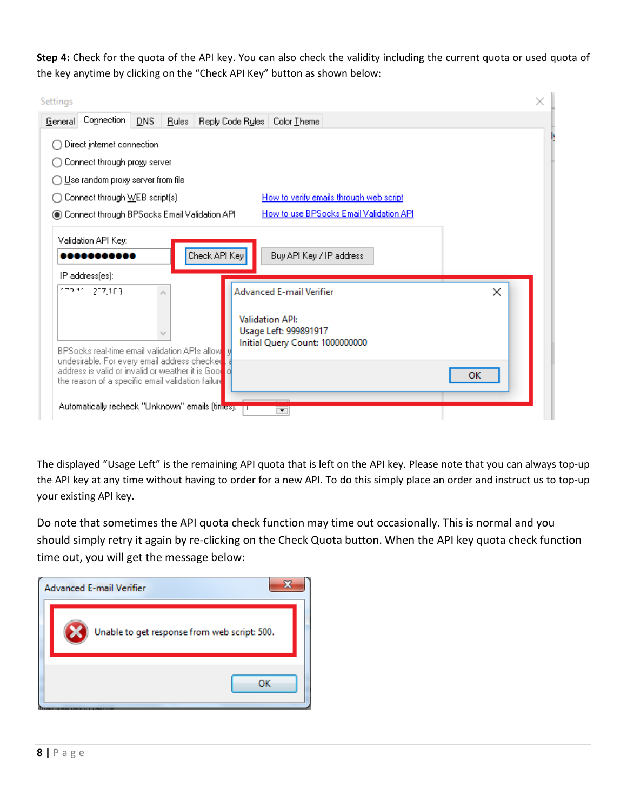**Step 4:** Check for the quota of the API key. You can also check the validity including the current quota or used quota of the key anytime by clicking on the "Check API Key" button as shown below:

| Settings                                                                                            | $\times$ |
|-----------------------------------------------------------------------------------------------------|----------|
| Connection<br>DNS<br>General<br>Reply Code Rules   Color Theme<br><b>Rules</b>                      |          |
| Direct internet connection                                                                          |          |
| Connect through proxy server                                                                        |          |
| ◯ Use random proxy server from file                                                                 |          |
| Connect through WEB script(s)<br>How to verify emails through web script<br>◯                       |          |
| How to use BPSocks Email Validation API<br>Connect through BPSocks Email Validation API             |          |
| Validation API Key:                                                                                 |          |
| Check API Key<br>Buy API Key / IP address                                                           |          |
| IP address[es]:                                                                                     |          |
| イラウィイ<br>217,103<br><b>Advanced E-mail Verifier</b>                                                 | ×        |
|                                                                                                     |          |
| <b>Validation API:</b><br>Usage Left: 999891917                                                     |          |
| Initial Query Count: 1000000000<br>BPSocks real-time email validation APIs allowed                  |          |
| undesirable. For every email address checked<br>address is valid or invalid or weather it is Good o |          |
| the reason of a specific email validation failure                                                   | ок       |
| Automatically recheck "Unknown" emails (times).                                                     |          |
| ▼                                                                                                   |          |

The displayed "Usage Left" is the remaining API quota that is left on the API key. Please note that you can always top-up the API key at any time without having to order for a new API. To do this simply place an order and instruct us to top-up your existing API key.

Do note that sometimes the API quota check function may time out occasionally. This is normal and you should simply retry it again by re-clicking on the Check Quota button. When the API key quota check function time out, you will get the message below:

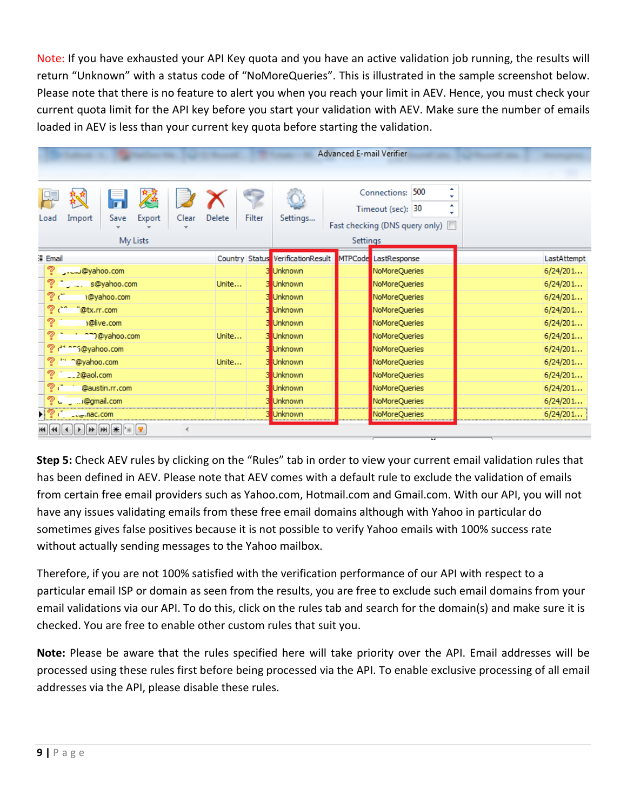Note: If you have exhausted your API Key quota and you have an active validation job running, the results will return "Unknown" with a status code of "NoMoreQueries". This is illustrated in the sample screenshot below. Please note that there is no feature to alert you when you reach your limit in AEV. Hence, you must check your current quota limit for the API key before you start your validation with AEV. Make sure the number of emails loaded in AEV is less than your current key quota before starting the validation.

|                                                                                                                                                                                                                                                                                                                                                                                                                        |                  |                                   | Advanced E-mail Verifier       |             |
|------------------------------------------------------------------------------------------------------------------------------------------------------------------------------------------------------------------------------------------------------------------------------------------------------------------------------------------------------------------------------------------------------------------------|------------------|-----------------------------------|--------------------------------|-------------|
|                                                                                                                                                                                                                                                                                                                                                                                                                        |                  |                                   |                                |             |
|                                                                                                                                                                                                                                                                                                                                                                                                                        |                  |                                   | 500<br>Connections:            | ٠<br>÷      |
|                                                                                                                                                                                                                                                                                                                                                                                                                        |                  |                                   | Timeout (sec): 30              | A.<br>÷     |
| Export<br>Import<br>Clear<br>Save<br>Load                                                                                                                                                                                                                                                                                                                                                                              | Delete<br>Filter | Settings                          | Fast checking (DNS query only) |             |
| My Lists                                                                                                                                                                                                                                                                                                                                                                                                               |                  |                                   | <b>Settings</b>                |             |
| Email                                                                                                                                                                                                                                                                                                                                                                                                                  |                  | Country Status VerificationResult | MTPCode LastResponse           | LastAttempt |
| a@yahoo.com                                                                                                                                                                                                                                                                                                                                                                                                            |                  | <b>Unknown</b>                    | NoMoreQueries                  | 6/24/201    |
| ್<br>s@yahoo.com                                                                                                                                                                                                                                                                                                                                                                                                       | Unite            | <b>Unknown</b>                    | NoMoreQueries                  | 6/24/201    |
| ತಿ ಒ<br>1@yahoo.com                                                                                                                                                                                                                                                                                                                                                                                                    |                  | <b>Unknown</b>                    | NoMoreQueries                  | 6/24/201    |
| س ۾<br>"@tx.rr.com                                                                                                                                                                                                                                                                                                                                                                                                     |                  | <b>Unknown</b>                    | NoMoreQueries                  | 6/24/201    |
| ?∵<br>1@live.com                                                                                                                                                                                                                                                                                                                                                                                                       |                  | <b>Unknown</b>                    | NoMoreQueries                  | 6/24/201    |
| ್<br>n m@yahoo.com                                                                                                                                                                                                                                                                                                                                                                                                     | Unite            | <b>Unknown</b>                    | NoMoreQueries                  | 6/24/201    |
| 2 di ors@yahoo.com                                                                                                                                                                                                                                                                                                                                                                                                     |                  | <b>Unknown</b>                    | NoMoreQueries                  | 6/24/201    |
| శి<br>" ~@yahoo.com                                                                                                                                                                                                                                                                                                                                                                                                    | Unite            | <b>Unknown</b>                    | NoMoreQueries                  | 6/24/201    |
| ್ತಾ<br>$-.2@$ aol.com                                                                                                                                                                                                                                                                                                                                                                                                  |                  | <b>Unknown</b>                    | NoMoreQueries                  | 6/24/201    |
| $\mathcal{D}$<br>@austin.rr.com                                                                                                                                                                                                                                                                                                                                                                                        |                  | <b>Unknown</b>                    | NoMoreQueries                  | 6/24/201    |
| ? J  @gmail.com                                                                                                                                                                                                                                                                                                                                                                                                        |                  | <b>Unknown</b>                    | NoMoreQueries                  | 6/24/201    |
| ▶ ? ( __ ___ nac.com                                                                                                                                                                                                                                                                                                                                                                                                   |                  | <b>Unknown</b>                    | NoMoreQueries                  | 6/24/201    |
| $\textbf{H} \textbf{H} \textbf{H} \textbf{H} \textbf{H} \textbf{H} \textbf{H} \textbf{H} \textbf{H} \textbf{H} \textbf{H} \textbf{H} \textbf{H} \textbf{H} \textbf{H} \textbf{H} \textbf{H} \textbf{H} \textbf{H} \textbf{H} \textbf{H} \textbf{H} \textbf{H} \textbf{H} \textbf{H} \textbf{H} \textbf{H} \textbf{H} \textbf{H} \textbf{H} \textbf{H} \textbf{H} \textbf{H} \textbf{H} \textbf{H} \textbf{H} \textbf{$ |                  |                                   |                                |             |

**Step 5:** Check AEV rules by clicking on the "Rules" tab in order to view your current email validation rules that has been defined in AEV. Please note that AEV comes with a default rule to exclude the validation of emails from certain free email providers such as Yahoo.com, Hotmail.com and Gmail.com. With our API, you will not have any issues validating emails from these free email domains although with Yahoo in particular do sometimes gives false positives because it is not possible to verify Yahoo emails with 100% success rate without actually sending messages to the Yahoo mailbox.

Therefore, if you are not 100% satisfied with the verification performance of our API with respect to a particular email ISP or domain as seen from the results, you are free to exclude such email domains from your email validations via our API. To do this, click on the rules tab and search for the domain(s) and make sure it is checked. You are free to enable other custom rules that suit you.

**Note:** Please be aware that the rules specified here will take priority over the API. Email addresses will be processed using these rules first before being processed via the API. To enable exclusive processing of all email addresses via the API, please disable these rules.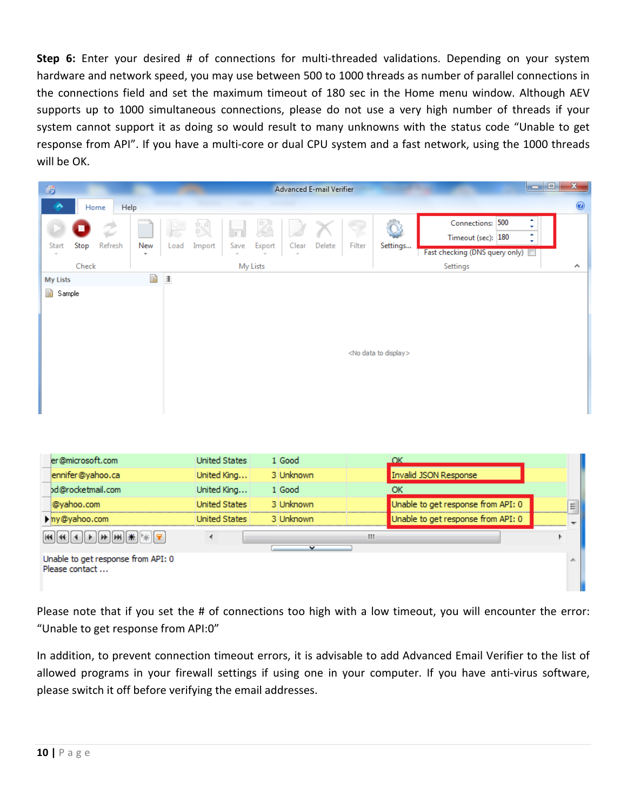**Step 6:** Enter your desired # of connections for multi-threaded validations. Depending on your system hardware and network speed, you may use between 500 to 1000 threads as number of parallel connections in the connections field and set the maximum timeout of 180 sec in the Home menu window. Although AEV supports up to 1000 simultaneous connections, please do not use a very high number of threads if your system cannot support it as doing so would result to many unknowns with the status code "Unable to get response from API". If you have a multi-core or dual CPU system and a fast network, using the 1000 threads will be OK.

| 喝                    |                  |                                      |          |      |        |                      |          | Advanced E-mail Verifier |        |        |                                    |                                                                          | $   $ $ $                       | x  |
|----------------------|------------------|--------------------------------------|----------|------|--------|----------------------|----------|--------------------------|--------|--------|------------------------------------|--------------------------------------------------------------------------|---------------------------------|----|
| ↗                    |                  | Home                                 | Help     |      |        |                      |          |                          |        |        |                                    |                                                                          |                                 | 0  |
| Start                | Stop             | Refresh                              | New<br>٠ | Load | Import | Save                 | Export   | Clear                    | Delete | Filter | Settings                           | Connections: 500<br>Timeout (sec): 180<br>Fast checking (DNS query only) | ٠<br>÷<br>$\blacktriangle$<br>÷ |    |
|                      | Check            |                                      |          |      |        |                      | My Lists |                          |        |        |                                    | Settings                                                                 |                                 | ᄉ  |
| <b>My Lists</b>      |                  |                                      | 勖        | 僵    |        |                      |          |                          |        |        |                                    |                                                                          |                                 |    |
| 国<br>Sample          |                  |                                      |          |      |        |                      |          |                          |        |        | <no data="" display="" to=""></no> |                                                                          |                                 |    |
|                      | er@microsoft.com |                                      |          |      |        | <b>United States</b> |          | 1 Good                   |        |        | $'$ OK                             |                                                                          |                                 |    |
|                      |                  | ennifer@yahoo.ca                     |          |      |        | United King          |          | 3 Unknown                |        |        |                                    | Invalid JSON Response                                                    |                                 |    |
|                      |                  | d@rocketmail.com                     |          |      |        | United King          |          | 1 Good                   |        |        | <b>OK</b>                          |                                                                          |                                 |    |
|                      | @yahoo.com       |                                      |          |      |        | <b>United States</b> |          | 3 Unknown                |        |        |                                    | Unable to get response from API: 0                                       |                                 | Ξ  |
| my@yahoo.com         |                  |                                      |          |      |        | <b>United States</b> |          | 3 Unknown                |        |        |                                    | Unable to get response from API: 0                                       |                                 |    |
| $\blacktriangleleft$ |                  | $  \cdot  _F  _F$ wilk $  \cdot  _F$ | R        |      | ∢      |                      |          |                          | v      | m      |                                    |                                                                          |                                 | Þ. |
| Please contact       |                  | Unable to get response from API: 0   |          |      |        |                      |          |                          |        |        |                                    |                                                                          |                                 | ∸  |

Please note that if you set the # of connections too high with a low timeout, you will encounter the error: "Unable to get response from API:0"

In addition, to prevent connection timeout errors, it is advisable to add Advanced Email Verifier to the list of allowed programs in your firewall settings if using one in your computer. If you have anti-virus software, please switch it off before verifying the email addresses.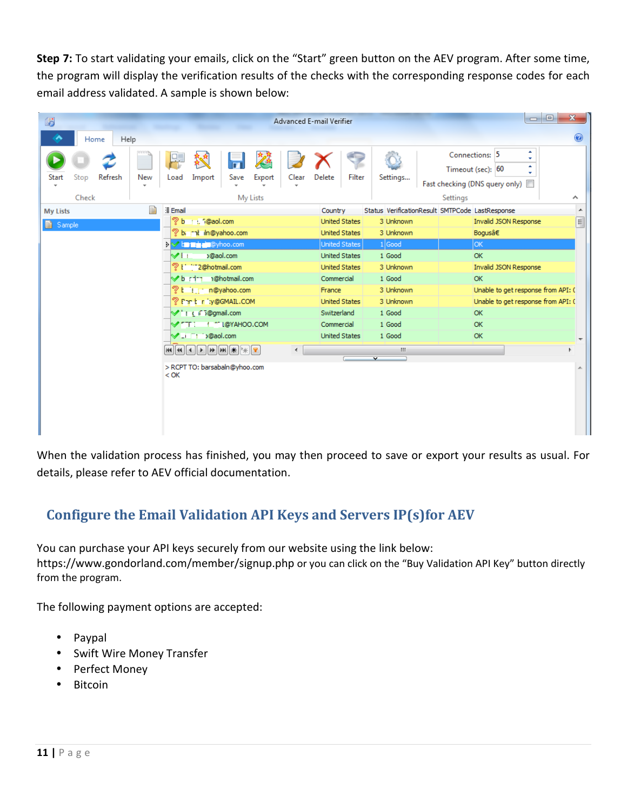**Step 7:** To start validating your emails, click on the "Start" green button on the AEV program. After some time, the program will display the verification results of the checks with the corresponding response codes for each email address validated. A sample is shown below:

| 喝                                  |               |         |                                 |                    |                                                                                                                  |           |          |              | Advanced E-mail Verifier          |                                              |                         |                                                                       | -0<br>$\Box$                       | $\mathbf{x}$             |
|------------------------------------|---------------|---------|---------------------------------|--------------------|------------------------------------------------------------------------------------------------------------------|-----------|----------|--------------|-----------------------------------|----------------------------------------------|-------------------------|-----------------------------------------------------------------------|------------------------------------|--------------------------|
| ^                                  | Home          | Help    |                                 |                    |                                                                                                                  |           |          |              |                                   |                                              |                         |                                                                       |                                    | ◉                        |
| Start                              | Stop<br>Check | Refresh | New<br>$\overline{\phantom{a}}$ | Load               | Import                                                                                                           | Save      | Export   | Clear        | <b>Delete</b>                     | Filter                                       | Settings                | Connections: 5<br>Timeout (sec): 60<br>Fast checking (DNS query only) | ۸<br>÷<br>٠<br>÷                   | $\boldsymbol{\wedge}$    |
|                                    |               |         |                                 |                    |                                                                                                                  |           | My Lists |              |                                   |                                              |                         | Settings                                                              |                                    | $\blacktriangle$         |
| <b>My Lists</b><br><b>■</b> Sample |               |         | 圃                               | <b>Email</b><br>?b | 1 : 1@aol.com<br>bi rat iln@yahoo.com                                                                            |           |          |              | Country                           | <b>United States</b><br><b>United States</b> | 3 Unknown<br>3 Unknown  | Status VerificationResult SMTPCode LastResponse<br>Bogusâ€            | Invalid JSON Response              | $\boxed{\Xi}$            |
|                                    |               |         |                                 |                    | > the main @yhoo.com                                                                                             |           |          |              |                                   | United States                                | $1$ Good                | lок                                                                   |                                    |                          |
|                                    |               |         |                                 | VH                 |                                                                                                                  | o@aol.com |          |              |                                   | <b>United States</b>                         | OK<br>1 Good            |                                                                       |                                    |                          |
|                                    |               |         |                                 |                    | ? I " 2@hotmail.com                                                                                              |           |          |              | 3 Unknown<br><b>United States</b> |                                              |                         |                                                                       | Invalid JSON Response              |                          |
|                                    |               |         |                                 |                    | b : in n@hotmail.com                                                                                             |           |          |              | Commercial                        |                                              | 1 Good<br><b>OK</b>     |                                                                       |                                    |                          |
|                                    |               |         |                                 |                    | ?t in n@yahoo.com                                                                                                |           |          |              | France                            |                                              | 3 Unknown               |                                                                       | Unable to get response from API: ( |                          |
|                                    |               |         |                                 |                    | Pert riv@GMAIL.COM                                                                                               |           |          |              |                                   | <b>United States</b>                         | 3 Unknown               |                                                                       | Unable to get response from API: ( |                          |
|                                    |               |         |                                 |                    | V: (F5@gmail.com                                                                                                 |           |          |              | Switzerland                       |                                              | 1 Good                  | <b>OK</b>                                                             |                                    |                          |
|                                    |               |         |                                 |                    | <b>VITI I</b> I MOYAHOO.COM                                                                                      |           |          |              | Commercial                        |                                              | 1 Good                  | OK                                                                    |                                    |                          |
|                                    |               |         |                                 |                    | V _i i j@aol.com                                                                                                 |           |          |              |                                   | <b>United States</b>                         | 1 Good                  | OK                                                                    |                                    | $\overline{\phantom{a}}$ |
|                                    |               |         |                                 |                    | $\textbf{H}[\textbf{H}[\textbf{H}[\textbf{H}[\textbf{H}]\textbf{H}]\textbf{H}[\textbf{H}[\textbf{H}]\textbf{H}]$ |           |          | $\leftarrow$ |                                   |                                              | Ш                       |                                                                       |                                    | Þ.                       |
|                                    |               |         |                                 |                    | > RCPT TO: barsabaln@yhoo.com                                                                                    |           |          |              |                                   |                                              | $\overline{\mathbf{v}}$ |                                                                       |                                    |                          |
|                                    |               |         |                                 | $<$ OK             |                                                                                                                  |           |          |              |                                   |                                              |                         |                                                                       |                                    | ×.                       |
|                                    |               |         |                                 |                    |                                                                                                                  |           |          |              |                                   |                                              |                         |                                                                       |                                    |                          |
|                                    |               |         |                                 |                    |                                                                                                                  |           |          |              |                                   |                                              |                         |                                                                       |                                    |                          |
|                                    |               |         |                                 |                    |                                                                                                                  |           |          |              |                                   |                                              |                         |                                                                       |                                    |                          |

When the validation process has finished, you may then proceed to save or export your results as usual. For details, please refer to AEV official documentation.

# **Configure the Email Validation API Keys and Servers IP(s)for AEV**

You can purchase your API keys securely from our website using the link below: https://www.gondorland.com/member/signup.php or you can click on the "Buy Validation API Key" button directly from the program.

The following payment options are accepted:

- Paypal
- Swift Wire Money Transfer
- Perfect Money
- Bitcoin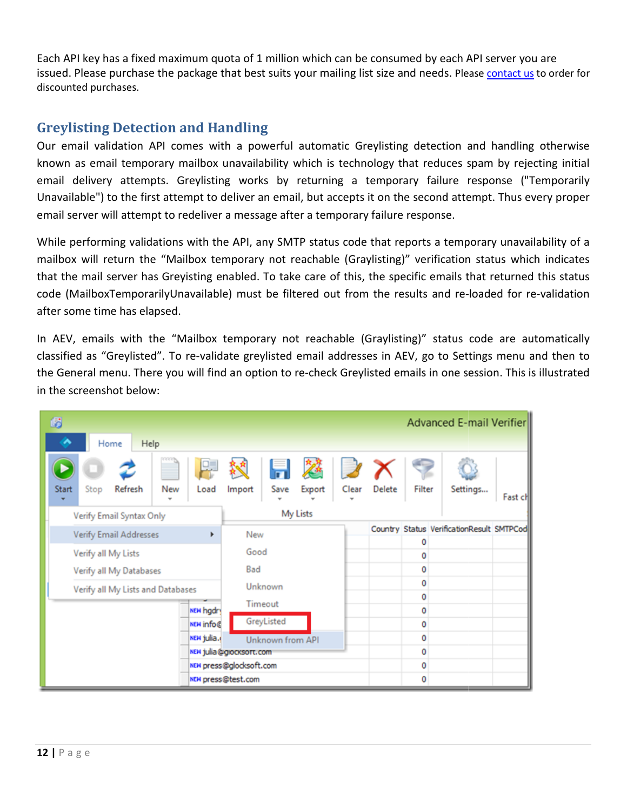Each API key has a fixed maximum quota of 1 million which can be consumed by each API server you are Each API key has a fixed maximum quota of 1 million which can be consumed by each API server you are<br>issued. Please purchase the package that best suits your mailing list size and needs. Please [contact us](https://www.bpsocks.com/supportsuite) to order for discounted purchases.

# **Greylisting Detection and Handling Detection**

Our email validation API comes with a powerful automatic Greylisting detection and handling otherwise known as email temporary mailbox unavailability which is technology that reduces spam by rejecting initial email delivery attempts. Greylisting works by returning a temporary failure response ("Temporarily Unavailable") to email delivery attempts. Greylisting works by returning a temporary failure response ("Temporarily Unavailable") to the first attempt to deliver an email, but accepts it on the second attempt. Thus every proper email server will attempt to redeliver a message after a temporary failure response. ting works by returning a temporary failure response ("Temp<br>o deliver an email, but accepts it on the second attempt. Thus every<br>er a message after a temporary failure response.<br>the API, any SMTP status code that reports a

While performing validations with the API, any SMTP status code that reports a temporary unavailability of a mailbox will return the "Mailbox temporary not reachable (Graylisting)" verification status which indicates<br>that the mail server has Greyisting enabled. To take care of this, the specific emails that returned this status<br>c that the mail server has Greyisting enabled. To take care of this, the specific emails that returned this status<br>code (MailboxTemporarilyUnavailable) must be filtered out from the results and re-loaded for re-validation code (MailboxTemporarilyUnavailable) must be filtered out from the results and re-loaded for re-validation after some time has elapsed.

In AEV, emails with the "Mailbox temporary not reachable (Graylisting)" status code are automatically<br>classified as "Greylisted". To re-validate greylisted email addresses in AEV, go to Settings menu and then to<br>the Genera classified as "Greylisted". To re-validate greylisted email addresses in AEV, go to Settings menu and then to classified as "Greylisted". To re-validate greylisted email addresses in AEV, go to Settings menu and then to<br>the General menu. There you will find an option to re-check Greylisted emails in one session. This is illustrate in the screenshot below:

| 嚴                                              |                                                               | Advanced E-mail Verifier                  |
|------------------------------------------------|---------------------------------------------------------------|-------------------------------------------|
| Home<br>Help                                   |                                                               |                                           |
| Stop<br>Refresh<br>New<br>Load<br><b>Start</b> | $\overline{\mathcal{S}}$<br>Clear<br>Save<br>Export<br>Import | Filter<br>Delete<br>Settings<br>Fast ch   |
| Verify Email Syntax Only                       | My Lists                                                      |                                           |
| <b>Verify Email Addresses</b><br>Þ.            | New                                                           | Country Status VerificationResult SMTPCod |
|                                                |                                                               | 0                                         |
| Verify all My Lists                            | Good                                                          | 0                                         |
| Verify all My Databases                        | Bad                                                           | 0                                         |
| Verify all My Lists and Databases              | Unknown                                                       | 0                                         |
|                                                | Timeout                                                       | 0                                         |
| NEW hgdry                                      |                                                               | 0                                         |
| <b>NEW info@</b>                               | GreyListed                                                    | 0                                         |
| NEW julia.                                     | Unknown from API                                              | 0                                         |
|                                                | NEW julia@glocksort.com                                       | 0                                         |
|                                                | NEW press@glocksoft.com                                       | 0                                         |
|                                                | NEW press@test.com                                            | 0                                         |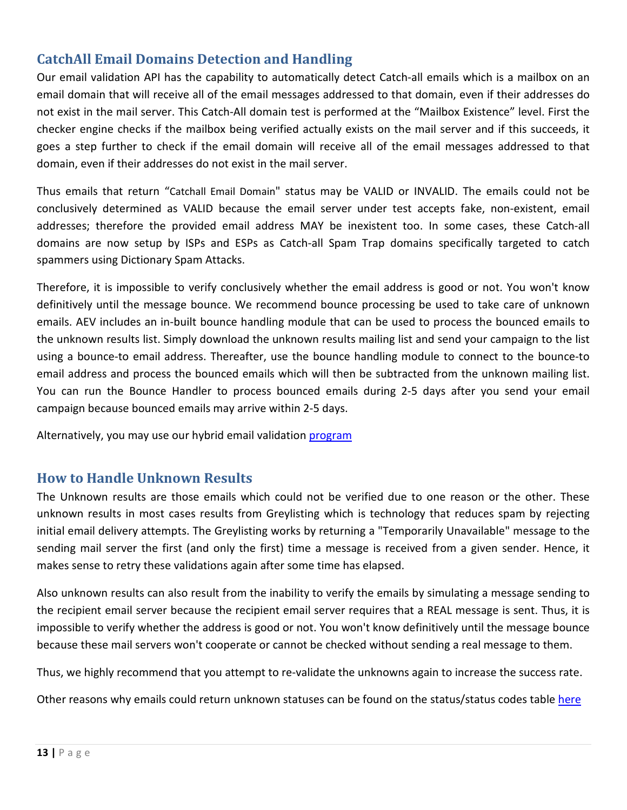## **CatchAll Email Domains Detection and Handling**

Our email validation API has the capability to automatically detect Catch-all emails which is a mailbox on an email domain that will receive all of the email messages addressed to that domain, even if their addresses do not exist in the mail server. This Catch-All domain test is performed at the "Mailbox Existence" level. First the checker engine checks if the mailbox being verified actually exists on the mail server and if this succeeds, it goes a step further to check if the email domain will receive all of the email messages addressed to that domain, even if their addresses do not exist in the mail server.

Thus emails that return "Catchall Email Domain" status may be VALID or INVALID. The emails could not be conclusively determined as VALID because the email server under test accepts fake, non-existent, email addresses; therefore the provided email address MAY be inexistent too. In some cases, these Catch-all domains are now setup by ISPs and ESPs as Catch-all Spam Trap domains specifically targeted to catch spammers using Dictionary Spam Attacks.

Therefore, it is impossible to verify conclusively whether the email address is good or not. You won't know definitively until the message bounce. We recommend bounce processing be used to take care of unknown emails. AEV includes an in-built bounce handling module that can be used to process the bounced emails to the unknown results list. Simply download the unknown results mailing list and send your campaign to the list using a bounce-to email address. Thereafter, use the bounce handling module to connect to the bounce-to email address and process the bounced emails which will then be subtracted from the unknown mailing list. You can run the Bounce Handler to process bounced emails during 2-5 days after you send your email campaign because bounced emails may arrive within 2-5 days.

Alternatively, you may use our hybrid email validation program

### **How to Handle Unknown Results**

The Unknown results are those emails which could not be verified due to one reason or the other. These unknown results in most cases results from Greylisting which is technology that reduces spam by rejecting initial email delivery attempts. The Greylisting works by returning a "Temporarily Unavailable" message to the sending mail server the first (and only the first) time a message is received from a given sender. Hence, it makes sense to retry these validations again after some time has elapsed.

Also unknown results can also result from the inability to verify the emails by simulating a message sending to the recipient email server because the recipient email server requires that a REAL message is sent. Thus, it is impossible to verify whether the address is good or not. You won't know definitively until the message bounce because these mail servers won't cooperate or cannot be checked without sending a real message to them.

Thus, we highly recommend that you attempt to re-validate the unknowns again to increase the success rate.

Other reasons why emails could return unknown statuses can be found on the status/status codes table [here](#page-15-0)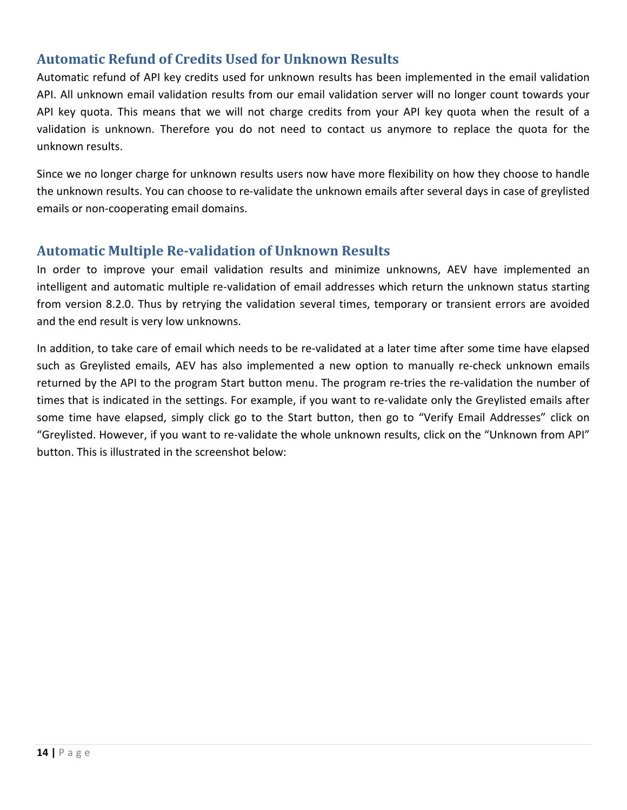## **Automatic Refund of Credits Used for Unknown Results**

Automatic refund of API key credits used for unknown results has been implemented in the email validation API. All unknown email validation results from our email validation server will no longer count towards your API key quota. This means that we will not charge credits from your API key quota when the result of a validation is unknown. Therefore you do not need to contact us anymore to replace the quota for the unknown results.

Since we no longer charge for unknown results users now have more flexibility on how they choose to handle the unknown results. You can choose to re-validate the unknown emails after several days in case of greylisted emails or non-cooperating email domains.

### **Automatic Multiple Re-validation of Unknown Results**

In order to improve your email validation results and minimize unknowns, AEV have implemented an intelligent and automatic multiple re-validation of email addresses which return the unknown status starting from version 8.2.0. Thus by retrying the validation several times, temporary or transient errors are avoided and the end result is very low unknowns.

In addition, to take care of email which needs to be re-validated at a later time after some time have elapsed such as Greylisted emails, AEV has also implemented a new option to manually re-check unknown emails returned by the API to the program Start button menu. The program re-tries the re-validation the number of times that is indicated in the settings. For example, if you want to re-validate only the Greylisted emails after some time have elapsed, simply click go to the Start button, then go to "Verify Email Addresses" click on "Greylisted. However, if you want to re-validate the whole unknown results, click on the "Unknown from API" button. This is illustrated in the screenshot below: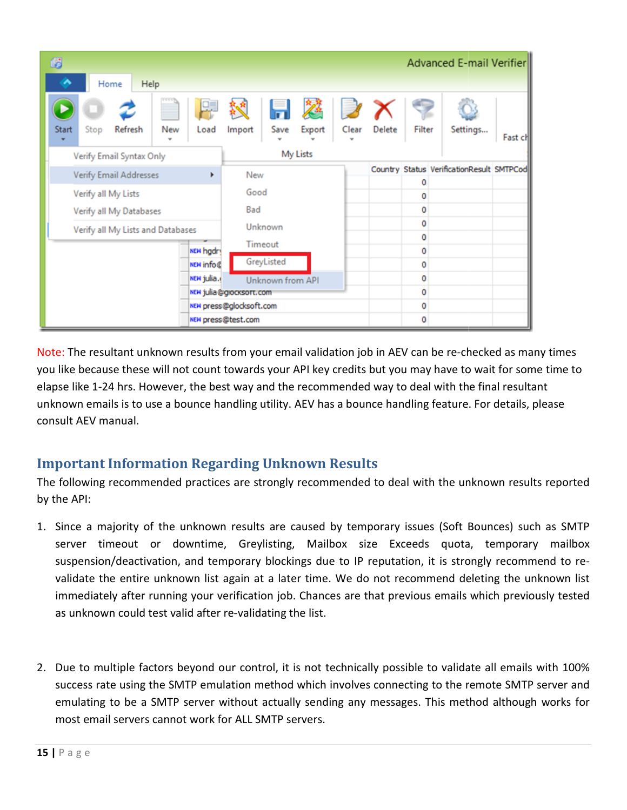| 嚴                                      |                         |                    |                 |       |        |        | <b>Advanced E-mail Verifier</b>           |         |
|----------------------------------------|-------------------------|--------------------|-----------------|-------|--------|--------|-------------------------------------------|---------|
| Home<br>Help                           |                         |                    |                 |       |        |        |                                           |         |
| Refresh<br>New<br><b>Start</b><br>Stop | Load                    | Save<br>Import     | 日落 フメ<br>Export | Clear | Delete | Filter | Settings                                  | Fast ch |
| Verify Email Syntax Only               |                         |                    | My Lists        |       |        |        |                                           |         |
| <b>Verify Email Addresses</b>          | ٠                       | New                |                 |       |        | 0      | Country Status VerificationResult SMTPCod |         |
| Verify all My Lists                    |                         | Good               |                 |       |        | 0      |                                           |         |
| Verify all My Databases                |                         | Bad                |                 |       |        | 0      |                                           |         |
| Verify all My Lists and Databases      |                         | Unknown            |                 |       |        | 0      |                                           |         |
|                                        |                         | Timeout            |                 |       |        | 0      |                                           |         |
|                                        | NEW hgdry               | GreyListed         |                 |       |        | 0      |                                           |         |
|                                        | NEW info@               |                    |                 |       |        | 0      |                                           |         |
|                                        | NEW julia.              | Unknown from API   |                 |       |        | 0      |                                           |         |
|                                        | NEW julia@grocksort.com |                    | 0               |       |        |        |                                           |         |
|                                        | NEW press@glocksoft.com |                    |                 |       | 0      |        |                                           |         |
|                                        |                         | NEW press@test.com |                 |       |        | 0      |                                           |         |

Note: The resultant unknown results from your email validation job in AEV can be re-checked as many times you like because these will not count towards your API key credits but you may have to wait for some time to elapse like 1-24 hrs. However, the best way and the recommended way to deal with the final resultant elapse like 1-24 hrs. However, the best way and the recommended way to deal with the final resultant<br>unknown emails is to use a bounce handling utility. AEV has a bounce handling feature. For details, please consult AEV manual. re-checked as many times<br>ve to wait for some time to<br>th the final resultant<br>ture. For details, please<br>ne unknown results reported<br>Soft Bounces) such as SMTP

## **Important Information Regarding Unknown Results**

The following recommended practices are strongly recommended to deal with the unknown results reported by the API:

- 1. Since a majority of the unknown results are caused by temporary issues (Soft Bounces) such as SMTP server timeout or downtime, Greylisting, Mailbox size Exceeds quota, temporary mailbox suspension/deactivation, and temporary blockings due to IP reputation, it is strongly recommend to revalidate the entire unknown list again at a later time. We do not recommend deleting the unknown list immediately after running your verification job. Chances are that previous emails which previously tested<br>as unknown could test valid after re-validating the list. as unknown could test valid after re-validating the list. recommended practices are strongly recommended to deal with the unknown results reported<br>ajority of the unknown results are caused by temporary issues (Soft Bounces) such as SMTP<br>meout or downtime, Greylisting, Mailbox siz
- 2. Due to multiple factors beyond our control, it is not technically possible to validate all emails with 100% success rate using the SMTP emulation method which involves connecting to the remote SMTP server and emulating to be a SMTP server without actually sending any messages. This method although works most email servers cannot work for ALL SMTP servers. success rate using the SMTP emulation method which involves connecting to the remote SMTP server<br>emulating to be a SMTP server without actually sending any messages. This method although works<br>most email servers cannot wor In time. We do not recommend deleting the unknown list<br>Chances are that previous emails which previously tested<br>ne list.<br>So not technically possible to validate all emails with 100%<br>which involves connecting to the remote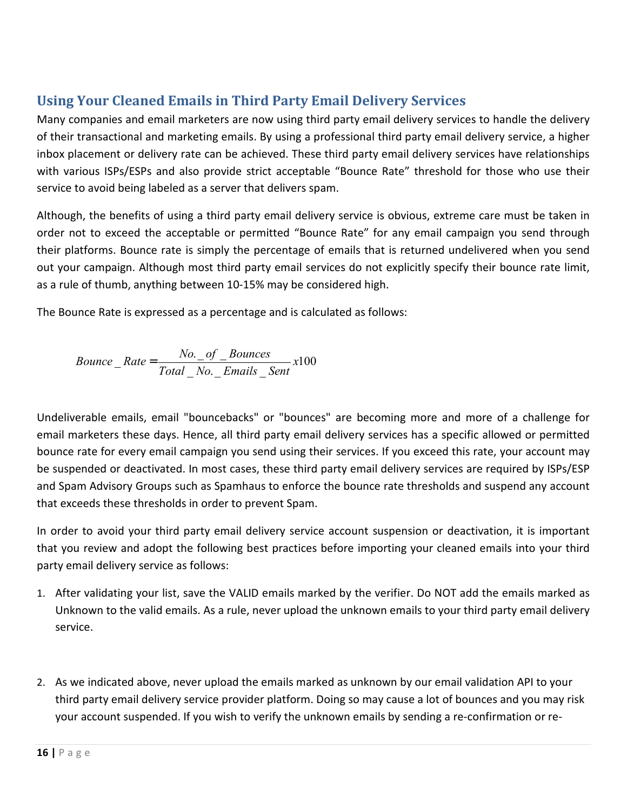# <span id="page-15-0"></span>**Using Your Cleaned Emails in Third Party Email Delivery Services**

Many companies and email marketers are now using third party email delivery services to handle the delivery of their transactional and marketing emails. By using a professional third party email delivery service, a higher inbox placement or delivery rate can be achieved. These third party email delivery services have relationships with various ISPs/ESPs and also provide strict acceptable "Bounce Rate" threshold for those who use their service to avoid being labeled as a server that delivers spam.

Although, the benefits of using a third party email delivery service is obvious, extreme care must be taken in order not to exceed the acceptable or permitted "Bounce Rate" for any email campaign you send through their platforms. Bounce rate is simply the percentage of emails that is returned undelivered when you send out your campaign. Although most third party email services do not explicitly specify their bounce rate limit, as a rule of thumb, anything between 10-15% may be considered high.

The Bounce Rate is expressed as a percentage and is calculated as follows:

Bounce\_Rate = 
$$
\frac{No. \text{ of } Bounces}{Total \text{. No. } Emails \text{ . Sent}} \times 100
$$

Undeliverable emails, email "bouncebacks" or "bounces" are becoming more and more of a challenge for email marketers these days. Hence, all third party email delivery services has a specific allowed or permitted bounce rate for every email campaign you send using their services. If you exceed this rate, your account may be suspended or deactivated. In most cases, these third party email delivery services are required by ISPs/ESP and Spam Advisory Groups such as Spamhaus to enforce the bounce rate thresholds and suspend any account that exceeds these thresholds in order to prevent Spam.

In order to avoid your third party email delivery service account suspension or deactivation, it is important that you review and adopt the following best practices before importing your cleaned emails into your third party email delivery service as follows:

- 1. After validating your list, save the VALID emails marked by the verifier. Do NOT add the emails marked as Unknown to the valid emails. As a rule, never upload the unknown emails to your third party email delivery service.
- 2. As we indicated above, never upload the emails marked as unknown by our email validation API to your third party email delivery service provider platform. Doing so may cause a lot of bounces and you may risk your account suspended. If you wish to verify the unknown emails by sending a re-confirmation or re-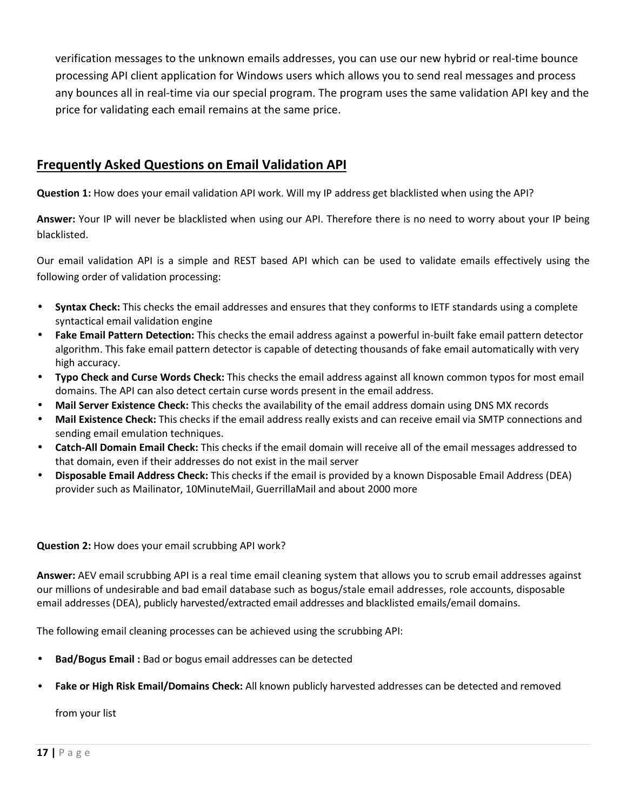verification messages to the unknown emails addresses, you can use our new hybrid or real-time bounce processing API client application for Windows users which allows you to send real messages and process any bounces all in real-time via our special program. The program uses the same validation API key and the price for validating each email remains at the same price.

#### **Frequently Asked Questions on Email Validation API**

**Question 1:** How does your email validation API work. Will my IP address get blacklisted when using the API?

**Answer:** Your IP will never be blacklisted when using our API. Therefore there is no need to worry about your IP being blacklisted.

Our email validation API is a simple and REST based API which can be used to validate emails effectively using the following order of validation processing:

- **Syntax Check:** This checks the email addresses and ensures that they conforms to IETF standards using a complete syntactical email validation engine
- **Fake Email Pattern Detection:** This checks the email address against a powerful in-built fake email pattern detector algorithm. This fake email pattern detector is capable of detecting thousands of fake email automatically with very high accuracy.
- **Typo Check and Curse Words Check:** This checks the email address against all known common typos for most email domains. The API can also detect certain curse words present in the email address.
- **Mail Server Existence Check:** This checks the availability of the email address domain using DNS MX records
- **Mail Existence Check:** This checks if the email address really exists and can receive email via SMTP connections and sending email emulation techniques.
- **Catch-All Domain Email Check:** This checks if the email domain will receive all of the email messages addressed to that domain, even if their addresses do not exist in the mail server
- **Disposable Email Address Check:** This checks if the email is provided by a known Disposable Email Address (DEA) provider such as Mailinator, 10MinuteMail, GuerrillaMail and about 2000 more

#### **Question 2:** How does your email scrubbing API work?

**Answer:** AEV email scrubbing API is a real time email cleaning system that allows you to scrub email addresses against our millions of undesirable and bad email database such as bogus/stale email addresses, role accounts, disposable email addresses (DEA), publicly harvested/extracted email addresses and blacklisted emails/email domains.

The following email cleaning processes can be achieved using the scrubbing API:

- **Bad/Bogus Email :** Bad or bogus email addresses can be detected
- **Fake or High Risk Email/Domains Check:** All known publicly harvested addresses can be detected and removed

from your list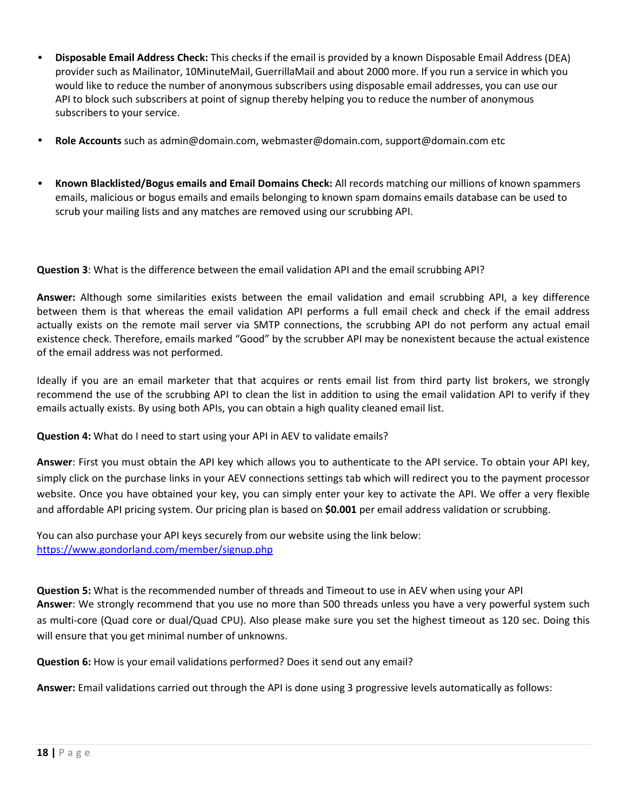- **Disposable Email Address Check:** This checks if the email is provided by a known Disposable Email Address (DEA) provider such as Mailinator, 10MinuteMail, GuerrillaMail and about 2000 more. If you run a service in which you would like to reduce the number of anonymous subscribers using disposable email addresses, you can use our API to block such subscribers at point of signup thereby helping you to reduce the number of anonymous subscribers to your service.
- **Role Accounts** such as [admin@domain.com,](mailto:admin@domain.com) [webmaster@domain.com,](mailto:webmaster@domain.com) [support@domain.com e](mailto:support@domain.com)tc
- **Known Blacklisted/Bogus emails and Email Domains Check:** All records matching our millions of known spammers emails, malicious or bogus emails and emails belonging to known spam domains emails database can be used to scrub your mailing lists and any matches are removed using our scrubbing API.

**Question 3**: What is the difference between the email validation API and the email scrubbing API?

**Answer:** Although some similarities exists between the email validation and email scrubbing API, a key difference between them is that whereas the email validation API performs a full email check and check if the email address actually exists on the remote mail server via SMTP connections, the scrubbing API do not perform any actual email existence check. Therefore, emails marked "Good" by the scrubber API may be nonexistent because the actual existence of the email address was not performed.

Ideally if you are an email marketer that that acquires or rents email list from third party list brokers, we strongly recommend the use of the scrubbing API to clean the list in addition to using the email validation API to verify if they emails actually exists. By using both APIs, you can obtain a high quality cleaned email list.

**Question 4:** What do I need to start using your API in AEV to validate emails?

**Answer**: First you must obtain the API key which allows you to authenticate to the API service. To obtain your API key, simply click on the purchase links in your AEV connections settings tab which will redirect you to the payment processor website. Once you have obtained your key, you can simply enter your key to activate the API. We offer a very flexible and affordable API pricing system. Our pricing plan is based on **\$0.001** per email address validation or scrubbing.

You can also purchase your API keys securely from our website using the link below: <https://www.gondorland.com/member/signup.php>

**Question 5:** What is the recommended number of threads and Timeout to use in AEV when using your API **Answer**: We strongly recommend that you use no more than 500 threads unless you have a very powerful system such as multi-core (Quad core or dual/Quad CPU). Also please make sure you set the highest timeout as 120 sec. Doing this will ensure that you get minimal number of unknowns.

**Question 6:** How is your email validations performed? Does it send out any email?

**Answer:** Email validations carried out through the API is done using 3 progressive levels automatically as follows: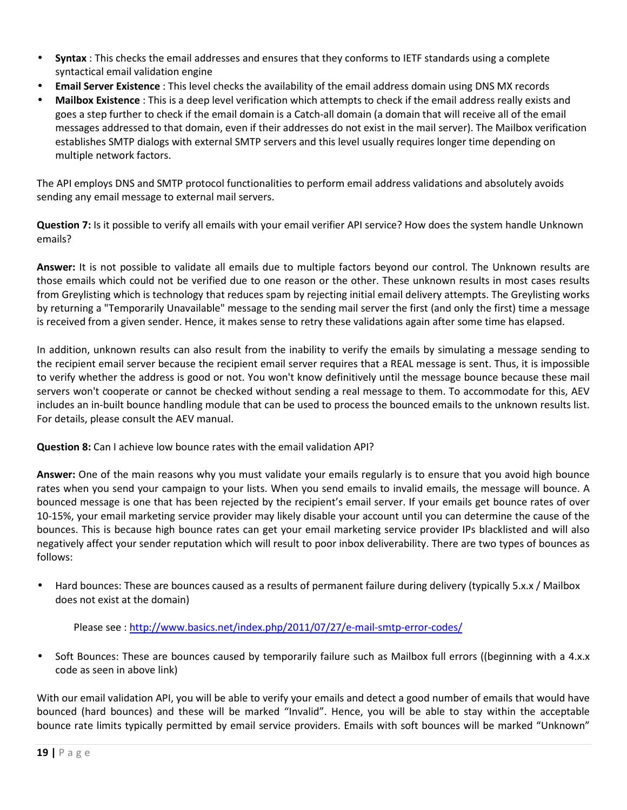- **Syntax** : This checks the email addresses and ensures that they conforms to IETF standards using a complete syntactical email validation engine
- **Email Server Existence** : This level checks the availability of the email address domain using DNS MX records
- **Mailbox Existence** : This is a deep level verification which attempts to check if the email address really exists and goes a step further to check if the email domain is a Catch-all domain (a domain that will receive all of the email messages addressed to that domain, even if their addresses do not exist in the mail server). The Mailbox verification establishes SMTP dialogs with external SMTP servers and this level usually requires longer time depending on multiple network factors.

The API employs DNS and SMTP protocol functionalities to perform email address validations and absolutely avoids sending any email message to external mail servers.

**Question 7:** Is it possible to verify all emails with your email verifier API service? How does the system handle Unknown emails?

**Answer:** It is not possible to validate all emails due to multiple factors beyond our control. The Unknown results are those emails which could not be verified due to one reason or the other. These unknown results in most cases results from Greylisting which is technology that reduces spam by rejecting initial email delivery attempts. The Greylisting works by returning a "Temporarily Unavailable" message to the sending mail server the first (and only the first) time a message is received from a given sender. Hence, it makes sense to retry these validations again after some time has elapsed.

In addition, unknown results can also result from the inability to verify the emails by simulating a message sending to the recipient email server because the recipient email server requires that a REAL message is sent. Thus, it is impossible to verify whether the address is good or not. You won't know definitively until the message bounce because these mail servers won't cooperate or cannot be checked without sending a real message to them. To accommodate for this, AEV includes an in-built bounce handling module that can be used to process the bounced emails to the unknown results list. For details, please consult the AEV manual.

**Question 8:** Can I achieve low bounce rates with the email validation API?

**Answer:** One of the main reasons why you must validate your emails regularly is to ensure that you avoid high bounce rates when you send your campaign to your lists. When you send emails to invalid emails, the message will bounce. A bounced message is one that has been rejected by the recipient's email server. If your emails get bounce rates of over 10-15%, your email marketing service provider may likely disable your account until you can determine the cause of the bounces. This is because high bounce rates can get your email marketing service provider IPs blacklisted and will also negatively affect your sender reputation which will result to poor inbox deliverability. There are two types of bounces as follows:

• Hard bounces: These are bounces caused as a results of permanent failure during delivery (typically 5.x.x / Mailbox does not exist at the domain)

Please see :<http://www.basics.net/index.php/2011/07/27/e-mail-smtp-error-codes/>

Soft Bounces: These are bounces caused by temporarily failure such as Mailbox full errors ((beginning with a 4.x.x code as seen in above link)

With our email validation API, you will be able to verify your emails and detect a good number of emails that would have bounced (hard bounces) and these will be marked "Invalid". Hence, you will be able to stay within the acceptable bounce rate limits typically permitted by email service providers. Emails with soft bounces will be marked "Unknown"